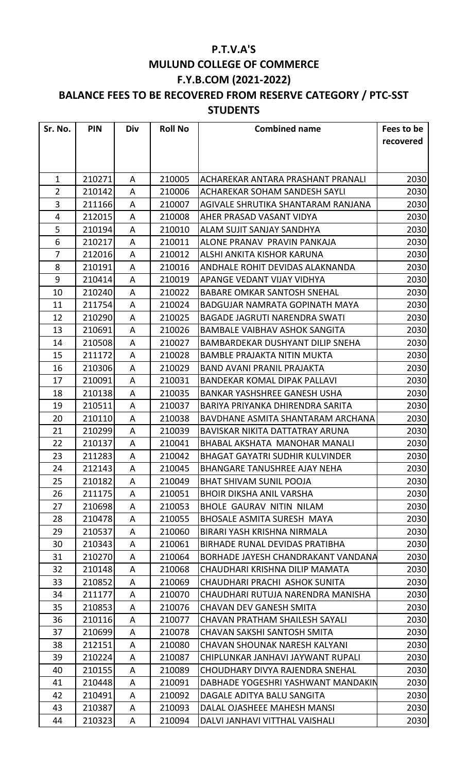## **P.T.V.A'S MULUND COLLEGE OF COMMERCE F.Y.B.COM (2021-2022)**

## **BALANCE FEES TO BE RECOVERED FROM RESERVE CATEGORY / PTC-SST STUDENTS**

| Sr. No.        | <b>PIN</b> | Div | <b>Roll No</b> | <b>Combined name</b>                   | Fees to be |
|----------------|------------|-----|----------------|----------------------------------------|------------|
|                |            |     |                |                                        | recovered  |
|                |            |     |                |                                        |            |
|                |            |     |                |                                        |            |
| $\mathbf{1}$   | 210271     | A   | 210005         | ACHAREKAR ANTARA PRASHANT PRANALI      | 2030       |
| $\overline{2}$ | 210142     | A   | 210006         | ACHAREKAR SOHAM SANDESH SAYLI          | 2030       |
| 3              | 211166     | A   | 210007         | AGIVALE SHRUTIKA SHANTARAM RANJANA     | 2030       |
| 4              | 212015     | A   | 210008         | AHER PRASAD VASANT VIDYA               | 2030       |
| 5              | 210194     | A   | 210010         | ALAM SUJIT SANJAY SANDHYA              | 2030       |
| 6              | 210217     | A   | 210011         | ALONE PRANAV PRAVIN PANKAJA            | 2030       |
| $\overline{7}$ | 212016     | A   | 210012         | ALSHI ANKITA KISHOR KARUNA             | 2030       |
| 8              | 210191     | A   | 210016         | ANDHALE ROHIT DEVIDAS ALAKNANDA        | 2030       |
| 9              | 210414     | A   | 210019         | APANGE VEDANT VIJAY VIDHYA             | 2030       |
| 10             | 210240     | A   | 210022         | <b>BABARE OMKAR SANTOSH SNEHAL</b>     | 2030       |
| 11             | 211754     | A   | 210024         | <b>BADGUJAR NAMRATA GOPINATH MAYA</b>  | 2030       |
| 12             | 210290     | A   | 210025         | <b>BAGADE JAGRUTI NARENDRA SWATI</b>   | 2030       |
| 13             | 210691     | A   | 210026         | <b>BAMBALE VAIBHAV ASHOK SANGITA</b>   | 2030       |
| 14             | 210508     | A   | 210027         | BAMBARDEKAR DUSHYANT DILIP SNEHA       | 2030       |
| 15             | 211172     | A   | 210028         | <b>BAMBLE PRAJAKTA NITIN MUKTA</b>     | 2030       |
| 16             | 210306     | A   | 210029         | <b>BAND AVANI PRANIL PRAJAKTA</b>      | 2030       |
| 17             | 210091     | A   | 210031         | <b>BANDEKAR KOMAL DIPAK PALLAVI</b>    | 2030       |
| 18             | 210138     | A   | 210035         | <b>BANKAR YASHSHREE GANESH USHA</b>    | 2030       |
| 19             | 210511     | A   | 210037         | BARIYA PRIYANKA DHIRENDRA SARITA       | 2030       |
| 20             | 210110     | A   | 210038         | BAVDHANE ASMITA SHANTARAM ARCHANA      | 2030       |
| 21             | 210299     | A   | 210039         | BAVISKAR NIKITA DATTATRAY ARUNA        | 2030       |
| 22             | 210137     | A   | 210041         | BHABAL AKSHATA MANOHAR MANALI          | 2030       |
| 23             | 211283     | A   | 210042         | <b>BHAGAT GAYATRI SUDHIR KULVINDER</b> | 2030       |
| 24             | 212143     | A   | 210045         | <b>BHANGARE TANUSHREE AJAY NEHA</b>    | 2030       |
| 25             | 210182     | A   | 210049         | <b>BHAT SHIVAM SUNIL POOJA</b>         | 2030       |
| 26             | 211175     | A   | 210051         | <b>BHOIR DIKSHA ANIL VARSHA</b>        | 2030       |
| 27             | 210698     | A   | 210053         | <b>BHOLE GAURAV NITIN NILAM</b>        | 2030       |
| 28             | 210478     | A   | 210055         | BHOSALE ASMITA SURESH MAYA             | 2030       |
| 29             | 210537     | A   | 210060         | BIRARI YASH KRISHNA NIRMALA            | 2030       |
| 30             | 210343     | A   | 210061         | <b>BIRHADE RUNAL DEVIDAS PRATIBHA</b>  | 2030       |
| 31             | 210270     | A   | 210064         | BORHADE JAYESH CHANDRAKANT VANDANA     | 2030       |
| 32             | 210148     | A   | 210068         | CHAUDHARI KRISHNA DILIP MAMATA         | 2030       |
| 33             | 210852     | A   | 210069         | CHAUDHARI PRACHI ASHOK SUNITA          | 2030       |
| 34             | 211177     | A   | 210070         | CHAUDHARI RUTUJA NARENDRA MANISHA      | 2030       |
| 35             | 210853     | A   | 210076         | <b>CHAVAN DEV GANESH SMITA</b>         | 2030       |
| 36             | 210116     | A   | 210077         | <b>CHAVAN PRATHAM SHAILESH SAYALI</b>  | 2030       |
| 37             | 210699     | A   | 210078         | <b>CHAVAN SAKSHI SANTOSH SMITA</b>     | 2030       |
| 38             | 212151     | A   | 210080         | <b>CHAVAN SHOUNAK NARESH KALYANI</b>   | 2030       |
| 39             | 210224     | A   | 210087         | CHIPLUNKAR JANHAVI JAYWANT RUPALI      | 2030       |
| 40             | 210155     | A   | 210089         | CHOUDHARY DIVYA RAJENDRA SNEHAL        | 2030       |
| 41             | 210448     | A   | 210091         | DABHADE YOGESHRI YASHWANT MANDAKIN     | 2030       |
| 42             | 210491     | A   | 210092         | DAGALE ADITYA BALU SANGITA             | 2030       |
| 43             | 210387     | A   | 210093         | DALAL OJASHEEE MAHESH MANSI            | 2030       |
| 44             | 210323     | A   | 210094         | DALVI JANHAVI VITTHAL VAISHALI         | 2030       |
|                |            |     |                |                                        |            |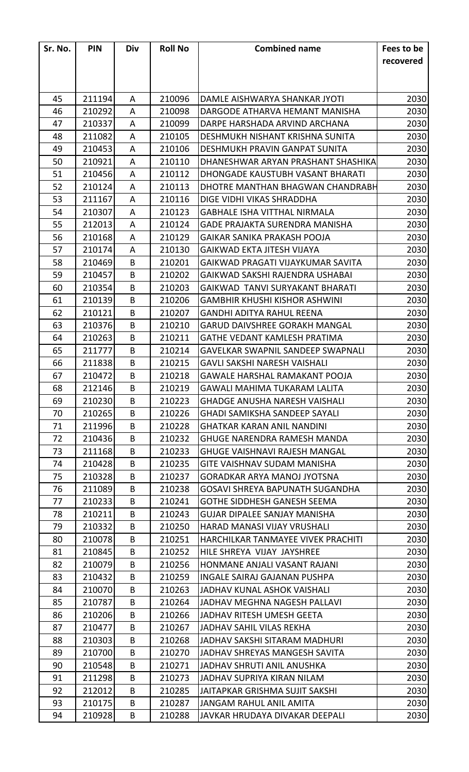| Sr. No. | <b>PIN</b> | Div | <b>Roll No</b> | <b>Combined name</b>                     | Fees to be |
|---------|------------|-----|----------------|------------------------------------------|------------|
|         |            |     |                |                                          | recovered  |
|         |            |     |                |                                          |            |
|         |            |     |                |                                          |            |
| 45      | 211194     | A   | 210096         | DAMLE AISHWARYA SHANKAR JYOTI            | 2030       |
| 46      | 210292     | A   | 210098         | DARGODE ATHARVA HEMANT MANISHA           | 2030       |
| 47      | 210337     | A   | 210099         | DARPE HARSHADA ARVIND ARCHANA            | 2030       |
| 48      | 211082     | A   | 210105         | DESHMUKH NISHANT KRISHNA SUNITA          | 2030       |
| 49      | 210453     | A   | 210106         | DESHMUKH PRAVIN GANPAT SUNITA            | 2030       |
| 50      | 210921     | A   | 210110         | DHANESHWAR ARYAN PRASHANT SHASHIKA       | 2030       |
| 51      | 210456     | A   | 210112         | DHONGADE KAUSTUBH VASANT BHARATI         | 2030       |
| 52      | 210124     | A   | 210113         | DHOTRE MANTHAN BHAGWAN CHANDRABH         | 2030       |
| 53      | 211167     | A   | 210116         | DIGE VIDHI VIKAS SHRADDHA                | 2030       |
| 54      | 210307     | A   | 210123         | <b>GABHALE ISHA VITTHAL NIRMALA</b>      | 2030       |
| 55      | 212013     | A   | 210124         | <b>GADE PRAJAKTA SURENDRA MANISHA</b>    | 2030       |
| 56      | 210168     | A   | 210129         | <b>GAIKAR SANIKA PRAKASH POOJA</b>       | 2030       |
| 57      | 210174     | A   | 210130         | GAIKWAD EKTA JITESH VIJAYA               | 2030       |
| 58      | 210469     | B   | 210201         | GAIKWAD PRAGATI VIJAYKUMAR SAVITA        | 2030       |
| 59      | 210457     | B   | 210202         | GAIKWAD SAKSHI RAJENDRA USHABAI          | 2030       |
| 60      | 210354     | B   | 210203         | GAIKWAD TANVI SURYAKANT BHARATI          | 2030       |
| 61      | 210139     | B   | 210206         | <b>GAMBHIR KHUSHI KISHOR ASHWINI</b>     | 2030       |
| 62      | 210121     | B   | 210207         | <b>GANDHI ADITYA RAHUL REENA</b>         | 2030       |
| 63      | 210376     | B   | 210210         | <b>GARUD DAIVSHREE GORAKH MANGAL</b>     | 2030       |
| 64      | 210263     | B   | 210211         | <b>GATHE VEDANT KAMLESH PRATIMA</b>      | 2030       |
| 65      | 211777     | B   | 210214         | <b>GAVELKAR SWAPNIL SANDEEP SWAPNALI</b> | 2030       |
| 66      | 211838     | B   | 210215         | GAVLI SAKSHI NARESH VAISHALI             | 2030       |
| 67      | 210472     | B   | 210218         | <b>GAWALE HARSHAL RAMAKANT POOJA</b>     | 2030       |
| 68      | 212146     | B   | 210219         | <b>GAWALI MAHIMA TUKARAM LALITA</b>      | 2030       |
| 69      | 210230     | B   | 210223         | <b>GHADGE ANUSHA NARESH VAISHALI</b>     | 2030       |
| 70      | 210265     | B   | 210226         | GHADI SAMIKSHA SANDEEP SAYALI            | 2030       |
| 71      | 211996     | B   | 210228         | <b>GHATKAR KARAN ANIL NANDINI</b>        | 2030       |
| 72      | 210436     | B   | 210232         | <b>GHUGE NARENDRA RAMESH MANDA</b>       | 2030       |
| 73      | 211168     | B   | 210233         | <b>GHUGE VAISHNAVI RAJESH MANGAL</b>     | 2030       |
| 74      | 210428     | B   | 210235         | <b>GITE VAISHNAV SUDAM MANISHA</b>       | 2030       |
| 75      | 210328     | B   | 210237         | <b>GORADKAR ARYA MANOJ JYOTSNA</b>       | 2030       |
| 76      | 211089     | B   | 210238         | GOSAVI SHREYA BAPUNATH SUGANDHA          | 2030       |
| 77      | 210233     | B   | 210241         | <b>GOTHE SIDDHESH GANESH SEEMA</b>       | 2030       |
| 78      | 210211     | B   | 210243         | <b>GUJAR DIPALEE SANJAY MANISHA</b>      | 2030       |
| 79      | 210332     | B   | 210250         | HARAD MANASI VIJAY VRUSHALI              | 2030       |
| 80      | 210078     | B   | 210251         | HARCHILKAR TANMAYEE VIVEK PRACHITI       | 2030       |
| 81      | 210845     | B   | 210252         | HILE SHREYA VIJAY JAYSHREE               | 2030       |
| 82      | 210079     | B   | 210256         | HONMANE ANJALI VASANT RAJANI             | 2030       |
| 83      | 210432     | B   | 210259         | <b>INGALE SAIRAJ GAJANAN PUSHPA</b>      | 2030       |
| 84      | 210070     | B   | 210263         | JADHAV KUNAL ASHOK VAISHALI              | 2030       |
| 85      | 210787     | B   | 210264         | JADHAV MEGHNA NAGESH PALLAVI             | 2030       |
| 86      | 210206     | B   | 210266         | JADHAV RITESH UMESH GEETA                | 2030       |
| 87      | 210477     | B   | 210267         | <b>JADHAV SAHIL VILAS REKHA</b>          | 2030       |
| 88      | 210303     | B   | 210268         | JADHAV SAKSHI SITARAM MADHURI            | 2030       |
| 89      | 210700     | B   | 210270         | JADHAV SHREYAS MANGESH SAVITA            | 2030       |
| 90      | 210548     | B   | 210271         | JADHAV SHRUTI ANIL ANUSHKA               | 2030       |
| 91      | 211298     | B   | 210273         | <b>JADHAV SUPRIYA KIRAN NILAM</b>        | 2030       |
| 92      | 212012     | B   | 210285         | <b>JAITAPKAR GRISHMA SUJIT SAKSHI</b>    | 2030       |
| 93      | 210175     | B   | 210287         | <b>JANGAM RAHUL ANIL AMITA</b>           | 2030       |
| 94      | 210928     | B   | 210288         | JAVKAR HRUDAYA DIVAKAR DEEPALI           | 2030       |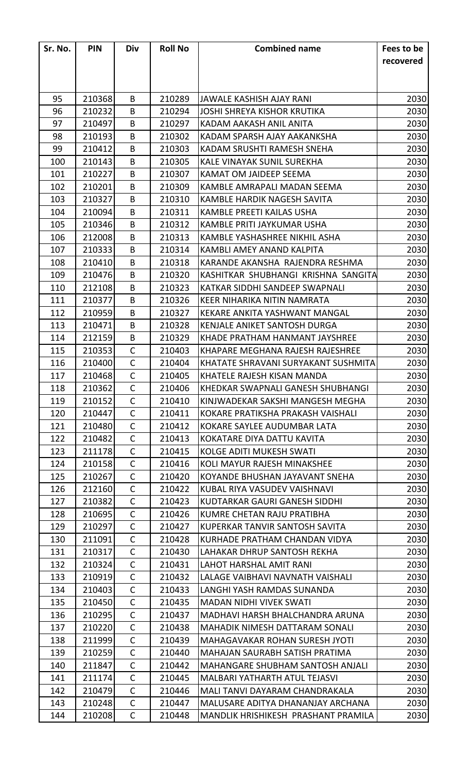| Sr. No. | <b>PIN</b> | Div          | <b>Roll No</b> | <b>Combined name</b>                    | Fees to be |
|---------|------------|--------------|----------------|-----------------------------------------|------------|
|         |            |              |                |                                         | recovered  |
|         |            |              |                |                                         |            |
|         |            |              |                |                                         |            |
| 95      | 210368     | B            | 210289         | JAWALE KASHISH AJAY RANI                | 2030       |
| 96      | 210232     | B            | 210294         | JOSHI SHREYA KISHOR KRUTIKA             | 2030       |
| 97      | 210497     | B            | 210297         | KADAM AAKASH ANIL ANITA                 | 2030       |
| 98      | 210193     | B            | 210302         | KADAM SPARSH AJAY AAKANKSHA             | 2030       |
| 99      | 210412     | B            | 210303         | KADAM SRUSHTI RAMESH SNEHA              | 2030       |
| 100     | 210143     | B            | 210305         | <b>KALE VINAYAK SUNIL SUREKHA</b>       | 2030       |
| 101     | 210227     | B            | 210307         | <b>KAMAT OM JAIDEEP SEEMA</b>           | 2030       |
| 102     | 210201     | B            | 210309         | KAMBLE AMRAPALI MADAN SEEMA             | 2030       |
| 103     | 210327     | B            | 210310         | KAMBLE HARDIK NAGESH SAVITA             | 2030       |
| 104     | 210094     | B            | 210311         | KAMBLE PREETI KAILAS USHA               | 2030       |
| 105     | 210346     | B            | 210312         | KAMBLE PRITI JAYKUMAR USHA              | 2030       |
| 106     | 212008     | B            | 210313         | KAMBLE YASHASHREE NIKHIL ASHA           | 2030       |
| 107     | 210333     | B            | 210314         | KAMBLI AMEY ANAND KALPITA               | 2030       |
| 108     | 210410     | B            | 210318         | KARANDE AKANSHA RAJENDRA RESHMA         | 2030       |
| 109     | 210476     | B            | 210320         | KASHITKAR SHUBHANGI KRISHNA SANGITA     | 2030       |
| 110     | 212108     | B            | 210323         | KATKAR SIDDHI SANDEEP SWAPNALI          | 2030       |
| 111     | 210377     | B            | 210326         | KEER NIHARIKA NITIN NAMRATA             | 2030       |
| 112     | 210959     | B            | 210327         | KEKARE ANKITA YASHWANT MANGAL           | 2030       |
| 113     | 210471     | B            | 210328         | KENJALE ANIKET SANTOSH DURGA            | 2030       |
| 114     | 212159     | B            | 210329         | KHADE PRATHAM HANMANT JAYSHREE          | 2030       |
| 115     | 210353     | $\mathsf{C}$ | 210403         | KHAPARE MEGHANA RAJESH RAJESHREE        | 2030       |
| 116     | 210400     | $\mathsf{C}$ | 210404         | KHATATE SHRAVANI SURYAKANT SUSHMITA     | 2030       |
| 117     | 210468     | $\mathsf{C}$ | 210405         | KHATELE RAJESH KISAN MANDA              | 2030       |
| 118     | 210362     | $\mathsf{C}$ | 210406         | KHEDKAR SWAPNALI GANESH SHUBHANGI       | 2030       |
| 119     | 210152     | $\mathsf{C}$ | 210410         | KINJWADEKAR SAKSHI MANGESH MEGHA        | 2030       |
| 120     | 210447     | C            | 210411         | KOKARE PRATIKSHA PRAKASH VAISHALI       | 2030       |
| 121     | 210480     | $\mathsf{C}$ | 210412         | KOKARE SAYLEE AUDUMBAR LATA             | 2030       |
| 122     | 210482     | $\mathsf{C}$ | 210413         | KOKATARE DIYA DATTU KAVITA              | 2030       |
| 123     | 211178     | $\mathsf C$  | 210415         | <b>KOLGE ADITI MUKESH SWATI</b>         | 2030       |
| 124     | 210158     | $\mathsf{C}$ | 210416         | KOLI MAYUR RAJESH MINAKSHEE             | 2030       |
| 125     | 210267     | $\mathsf{C}$ | 210420         | KOYANDE BHUSHAN JAYAVANT SNEHA          | 2030       |
| 126     | 212160     | $\mathsf{C}$ | 210422         | KUBAL RIYA VASUDEV VAISHNAVI            | 2030       |
| 127     | 210382     | $\mathsf{C}$ | 210423         | KUDTARKAR GAURI GANESH SIDDHI           | 2030       |
| 128     | 210695     | $\mathsf{C}$ | 210426         | KUMRE CHETAN RAJU PRATIBHA              | 2030       |
| 129     | 210297     | $\mathsf{C}$ | 210427         | KUPERKAR TANVIR SANTOSH SAVITA          | 2030       |
| 130     | 211091     | $\mathsf{C}$ | 210428         | KURHADE PRATHAM CHANDAN VIDYA           | 2030       |
| 131     | 210317     | $\mathsf{C}$ | 210430         | LAHAKAR DHRUP SANTOSH REKHA             | 2030       |
| 132     | 210324     | $\mathsf{C}$ | 210431         | LAHOT HARSHAL AMIT RANI                 | 2030       |
| 133     | 210919     | $\mathsf{C}$ | 210432         | LALAGE VAIBHAVI NAVNATH VAISHALI        | 2030       |
| 134     | 210403     | $\mathsf{C}$ | 210433         | LANGHI YASH RAMDAS SUNANDA              | 2030       |
| 135     | 210450     | $\mathsf{C}$ | 210435         | <b>MADAN NIDHI VIVEK SWATI</b>          | 2030       |
| 136     | 210295     | C            | 210437         | MADHAVI HARSH BHALCHANDRA ARUNA         | 2030       |
| 137     | 210220     | $\mathsf{C}$ | 210438         | MAHADIK NIMESH DATTARAM SONALI          | 2030       |
| 138     | 211999     | $\mathsf{C}$ | 210439         | <b>MAHAGAVAKAR ROHAN SURESH JYOTI</b>   | 2030       |
| 139     | 210259     | $\mathsf{C}$ | 210440         | MAHAJAN SAURABH SATISH PRATIMA          | 2030       |
| 140     | 211847     | $\mathsf{C}$ | 210442         | <b>MAHANGARE SHUBHAM SANTOSH ANJALI</b> | 2030       |
| 141     | 211174     | $\mathsf{C}$ | 210445         | MALBARI YATHARTH ATUL TEJASVI           | 2030       |
| 142     | 210479     | $\mathsf{C}$ | 210446         | MALI TANVI DAYARAM CHANDRAKALA          | 2030       |
| 143     | 210248     | $\mathsf{C}$ | 210447         | MALUSARE ADITYA DHANANJAY ARCHANA       | 2030       |
| 144     | 210208     | $\mathsf C$  | 210448         | MANDLIK HRISHIKESH PRASHANT PRAMILA     | 2030       |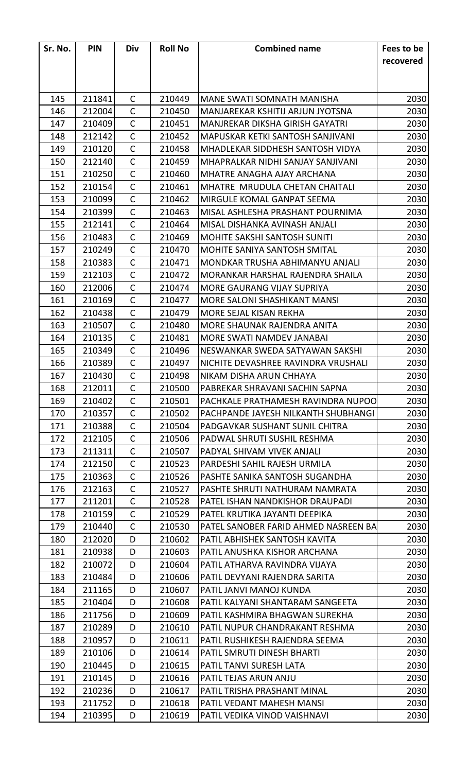| Sr. No. | <b>PIN</b> | Div          | <b>Roll No</b> | <b>Combined name</b>                   | Fees to be |
|---------|------------|--------------|----------------|----------------------------------------|------------|
|         |            |              |                |                                        | recovered  |
|         |            |              |                |                                        |            |
|         |            |              |                |                                        |            |
| 145     | 211841     | $\mathsf{C}$ | 210449         | <b>MANE SWATI SOMNATH MANISHA</b>      | 2030       |
| 146     | 212004     | C            | 210450         | MANJAREKAR KSHITIJ ARJUN JYOTSNA       | 2030       |
| 147     | 210409     | $\mathsf{C}$ | 210451         | <b>MANJREKAR DIKSHA GIRISH GAYATRI</b> | 2030       |
| 148     | 212142     | $\mathsf{C}$ | 210452         | MAPUSKAR KETKI SANTOSH SANJIVANI       | 2030       |
| 149     | 210120     | $\mathsf{C}$ | 210458         | MHADLEKAR SIDDHESH SANTOSH VIDYA       | 2030       |
| 150     | 212140     | $\mathsf{C}$ | 210459         | MHAPRALKAR NIDHI SANJAY SANJIVANI      | 2030       |
| 151     | 210250     | $\mathsf{C}$ | 210460         | MHATRE ANAGHA AJAY ARCHANA             | 2030       |
| 152     | 210154     | $\mathsf{C}$ | 210461         | MHATRE MRUDULA CHETAN CHAITALI         | 2030       |
| 153     | 210099     | $\mathsf{C}$ | 210462         | MIRGULE KOMAL GANPAT SEEMA             | 2030       |
| 154     | 210399     | $\mathsf{C}$ | 210463         | MISAL ASHLESHA PRASHANT POURNIMA       | 2030       |
| 155     | 212141     | $\mathsf{C}$ | 210464         | MISAL DISHANKA AVINASH ANJALI          | 2030       |
| 156     | 210483     | $\mathsf{C}$ | 210469         | <b>MOHITE SAKSHI SANTOSH SUNITI</b>    | 2030       |
| 157     | 210249     | $\mathsf{C}$ | 210470         | MOHITE SANIYA SANTOSH SMITAL           | 2030       |
| 158     | 210383     | $\mathsf{C}$ | 210471         | MONDKAR TRUSHA ABHIMANYU ANJALI        | 2030       |
| 159     | 212103     | $\mathsf{C}$ | 210472         | MORANKAR HARSHAL RAJENDRA SHAILA       | 2030       |
| 160     | 212006     | $\mathsf{C}$ | 210474         | MORE GAURANG VIJAY SUPRIYA             | 2030       |
| 161     | 210169     | $\mathsf{C}$ | 210477         | <b>MORE SALONI SHASHIKANT MANSI</b>    | 2030       |
| 162     | 210438     | $\mathsf{C}$ | 210479         | MORE SEJAL KISAN REKHA                 | 2030       |
| 163     | 210507     | $\mathsf{C}$ | 210480         | MORE SHAUNAK RAJENDRA ANITA            | 2030       |
| 164     | 210135     | $\mathsf{C}$ | 210481         | MORE SWATI NAMDEV JANABAI              | 2030       |
| 165     | 210349     | $\mathsf{C}$ | 210496         | NESWANKAR SWEDA SATYAWAN SAKSHI        | 2030       |
| 166     | 210389     | $\mathsf{C}$ | 210497         | NICHITE DEVASHREE RAVINDRA VRUSHALI    | 2030       |
| 167     | 210430     | $\mathsf{C}$ | 210498         | NIKAM DISHA ARUN CHHAYA                | 2030       |
| 168     | 212011     | $\mathsf{C}$ | 210500         | PABREKAR SHRAVANI SACHIN SAPNA         | 2030       |
| 169     | 210402     | $\mathsf{C}$ | 210501         | PACHKALE PRATHAMESH RAVINDRA NUPOO     | 2030       |
| 170     | 210357     | C            | 210502         | PACHPANDE JAYESH NILKANTH SHUBHANGI    | 2030       |
| 171     | 210388     | $\mathsf{C}$ | 210504         | PADGAVKAR SUSHANT SUNIL CHITRA         | 2030       |
| 172     | 212105     | $\mathsf{C}$ | 210506         | PADWAL SHRUTI SUSHIL RESHMA            | 2030       |
| 173     | 211311     | $\mathsf C$  | 210507         | PADYAL SHIVAM VIVEK ANJALI             | 2030       |
| 174     | 212150     | $\mathsf{C}$ | 210523         | PARDESHI SAHIL RAJESH URMILA           | 2030       |
| 175     | 210363     | $\mathsf{C}$ | 210526         | PASHTE SANIKA SANTOSH SUGANDHA         | 2030       |
| 176     | 212163     | $\mathsf{C}$ | 210527         | PASHTE SHRUTI NATHURAM NAMRATA         | 2030       |
| 177     | 211201     | $\mathsf{C}$ | 210528         | PATEL ISHAN NANDKISHOR DRAUPADI        | 2030       |
| 178     | 210159     | $\mathsf{C}$ | 210529         | PATEL KRUTIKA JAYANTI DEEPIKA          | 2030       |
| 179     | 210440     | $\mathsf{C}$ | 210530         | PATEL SANOBER FARID AHMED NASREEN BA   | 2030       |
| 180     | 212020     | D            | 210602         | PATIL ABHISHEK SANTOSH KAVITA          | 2030       |
| 181     | 210938     | D            | 210603         | PATIL ANUSHKA KISHOR ARCHANA           | 2030       |
| 182     | 210072     | D            | 210604         | PATIL ATHARVA RAVINDRA VIJAYA          | 2030       |
| 183     | 210484     | D            | 210606         | PATIL DEVYANI RAJENDRA SARITA          | 2030       |
| 184     | 211165     | D            | 210607         | PATIL JANVI MANOJ KUNDA                | 2030       |
| 185     | 210404     | D            | 210608         | PATIL KALYANI SHANTARAM SANGEETA       | 2030       |
| 186     | 211756     | D            | 210609         | PATIL KASHMIRA BHAGWAN SUREKHA         | 2030       |
| 187     | 210289     | D            | 210610         | PATIL NUPUR CHANDRAKANT RESHMA         | 2030       |
| 188     | 210957     | D            | 210611         | PATIL RUSHIKESH RAJENDRA SEEMA         | 2030       |
| 189     | 210106     | D            | 210614         | PATIL SMRUTI DINESH BHARTI             | 2030       |
| 190     | 210445     | D            | 210615         | PATIL TANVI SURESH LATA                | 2030       |
| 191     | 210145     | D            | 210616         | PATIL TEJAS ARUN ANJU                  | 2030       |
| 192     | 210236     | D            | 210617         | PATIL TRISHA PRASHANT MINAL            | 2030       |
| 193     | 211752     | D            | 210618         | PATIL VEDANT MAHESH MANSI              | 2030       |
| 194     | 210395     | D            | 210619         | PATIL VEDIKA VINOD VAISHNAVI           | 2030       |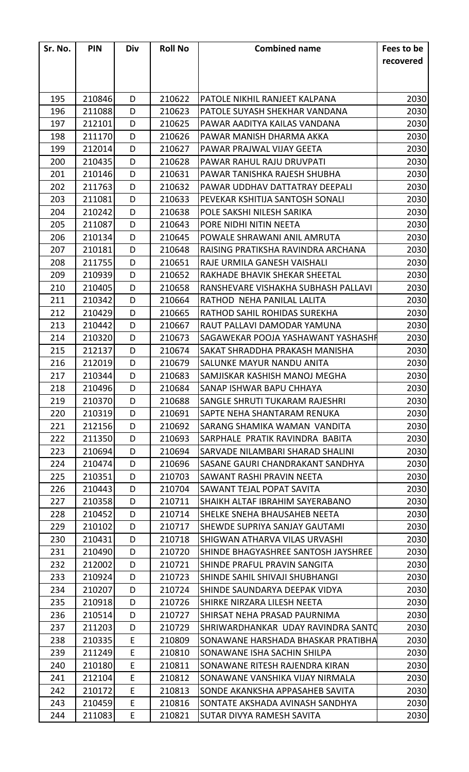| Sr. No. | <b>PIN</b> | Div | <b>Roll No</b> | <b>Combined name</b>                | Fees to be |
|---------|------------|-----|----------------|-------------------------------------|------------|
|         |            |     |                |                                     | recovered  |
|         |            |     |                |                                     |            |
|         |            |     |                |                                     |            |
| 195     | 210846     | D   | 210622         | PATOLE NIKHIL RANJEET KALPANA       | 2030       |
| 196     | 211088     | D   | 210623         | PATOLE SUYASH SHEKHAR VANDANA       | 2030       |
| 197     | 212101     | D   | 210625         | PAWAR AADITYA KAILAS VANDANA        | 2030       |
| 198     | 211170     | D   | 210626         | PAWAR MANISH DHARMA AKKA            | 2030       |
| 199     | 212014     | D   | 210627         | PAWAR PRAJWAL VIJAY GEETA           | 2030       |
| 200     | 210435     | D   | 210628         | PAWAR RAHUL RAJU DRUVPATI           | 2030       |
| 201     | 210146     | D   | 210631         | PAWAR TANISHKA RAJESH SHUBHA        | 2030       |
| 202     | 211763     | D   | 210632         | PAWAR UDDHAV DATTATRAY DEEPALI      | 2030       |
| 203     | 211081     | D   | 210633         | PEVEKAR KSHITIJA SANTOSH SONALI     | 2030       |
| 204     | 210242     | D   | 210638         | POLE SAKSHI NILESH SARIKA           | 2030       |
| 205     | 211087     | D   | 210643         | PORE NIDHI NITIN NEETA              | 2030       |
| 206     | 210134     | D   | 210645         | POWALE SHRAWANI ANIL AMRUTA         | 2030       |
| 207     | 210181     | D   | 210648         | RAISING PRATIKSHA RAVINDRA ARCHANA  | 2030       |
| 208     | 211755     | D   | 210651         | RAJE URMILA GANESH VAISHALI         | 2030       |
| 209     | 210939     | D   | 210652         | RAKHADE BHAVIK SHEKAR SHEETAL       | 2030       |
| 210     | 210405     | D   | 210658         | RANSHEVARE VISHAKHA SUBHASH PALLAVI | 2030       |
| 211     | 210342     | D   | 210664         | RATHOD NEHA PANILAL LALITA          | 2030       |
| 212     | 210429     | D   | 210665         | RATHOD SAHIL ROHIDAS SUREKHA        | 2030       |
| 213     | 210442     | D   | 210667         | RAUT PALLAVI DAMODAR YAMUNA         | 2030       |
| 214     | 210320     | D   | 210673         | SAGAWEKAR POOJA YASHAWANT YASHASHR  | 2030       |
| 215     | 212137     | D   | 210674         | SAKAT SHRADDHA PRAKASH MANISHA      | 2030       |
| 216     | 212019     | D   | 210679         | SALUNKE MAYUR NANDU ANITA           | 2030       |
| 217     | 210344     | D   | 210683         | SAMJISKAR KASHISH MANOJ MEGHA       | 2030       |
| 218     | 210496     | D   | 210684         | SANAP ISHWAR BAPU CHHAYA            | 2030       |
| 219     | 210370     | D   | 210688         | SANGLE SHRUTI TUKARAM RAJESHRI      | 2030       |
| 220     | 210319     | D   | 210691         | SAPTE NEHA SHANTARAM RENUKA         | 2030       |
| 221     | 212156     | D   | 210692         | SARANG SHAMIKA WAMAN VANDITA        | 2030       |
| 222     | 211350     | D   | 210693         | SARPHALE PRATIK RAVINDRA BABITA     | 2030       |
| 223     | 210694     | D   | 210694         | SARVADE NILAMBARI SHARAD SHALINI    | 2030       |
| 224     | 210474     | D   | 210696         | SASANE GAURI CHANDRAKANT SANDHYA    | 2030       |
| 225     | 210351     | D   | 210703         | SAWANT RASHI PRAVIN NEETA           | 2030       |
| 226     | 210443     | D   | 210704         | SAWANT TEJAL POPAT SAVITA           | 2030       |
| 227     | 210358     | D   | 210711         | SHAIKH ALTAF IBRAHIM SAYERABANO     | 2030       |
| 228     | 210452     | D   | 210714         | SHELKE SNEHA BHAUSAHEB NEETA        | 2030       |
| 229     | 210102     | D   | 210717         | SHEWDE SUPRIYA SANJAY GAUTAMI       | 2030       |
| 230     | 210431     | D   | 210718         | SHIGWAN ATHARVA VILAS URVASHI       | 2030       |
| 231     | 210490     | D   | 210720         | SHINDE BHAGYASHREE SANTOSH JAYSHREE | 2030       |
| 232     | 212002     | D   | 210721         | SHINDE PRAFUL PRAVIN SANGITA        | 2030       |
| 233     | 210924     | D   | 210723         | SHINDE SAHIL SHIVAJI SHUBHANGI      | 2030       |
| 234     | 210207     | D   | 210724         | SHINDE SAUNDARYA DEEPAK VIDYA       | 2030       |
| 235     | 210918     | D   | 210726         | SHIRKE NIRZARA LILESH NEETA         | 2030       |
| 236     | 210514     | D   | 210727         | SHIRSAT NEHA PRASAD PAURNIMA        | 2030       |
| 237     | 211203     | D   | 210729         | SHRIWARDHANKAR UDAY RAVINDRA SANTO  | 2030       |
| 238     | 210335     | E   | 210809         | SONAWANE HARSHADA BHASKAR PRATIBHA  | 2030       |
| 239     | 211249     | E   | 210810         | SONAWANE ISHA SACHIN SHILPA         | 2030       |
| 240     | 210180     | E   | 210811         | SONAWANE RITESH RAJENDRA KIRAN      | 2030       |
| 241     | 212104     | E   | 210812         | SONAWANE VANSHIKA VIJAY NIRMALA     | 2030       |
| 242     | 210172     | E   | 210813         | SONDE AKANKSHA APPASAHEB SAVITA     | 2030       |
| 243     | 210459     | E   | 210816         | SONTATE AKSHADA AVINASH SANDHYA     | 2030       |
| 244     | 211083     | E   | 210821         | SUTAR DIVYA RAMESH SAVITA           | 2030       |